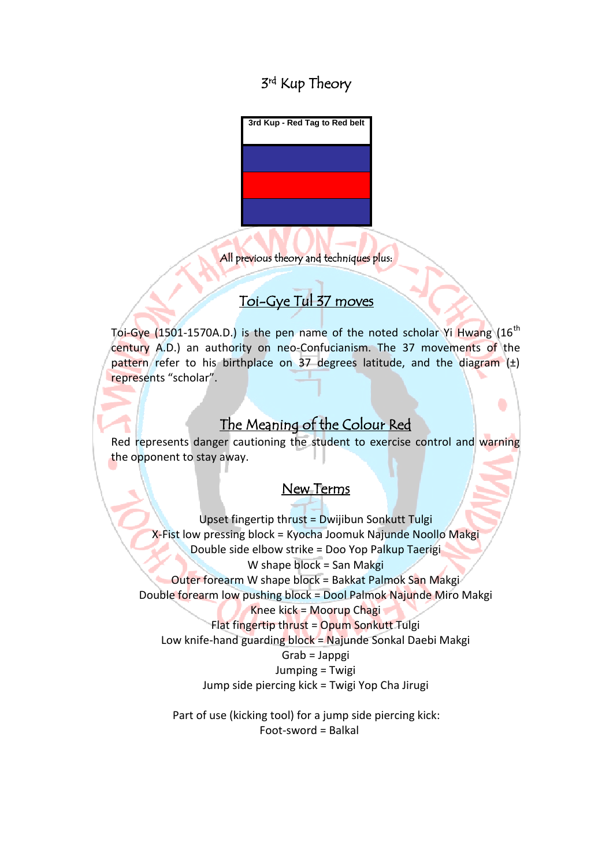# 3<sup>rd</sup> Kup Theory



All previous theory and techniques plus:

# Toi-Gye Tul 37 moves

Toi-Gye  $(1501-1570A.D.)$  is the pen name of the noted scholar Yi Hwang  $(16<sup>th</sup>$ century A.D.) an authority on neo-Confucianism. The 37 movements of the pattern refer to his birthplace on 37 degrees latitude, and the diagram  $(\pm)$ represents "scholar".

### The Meaning of the Colour Red

۰

Red represents danger cautioning the student to exercise control and warning the opponent to stay away.

#### New Terms

Upset fingertip thrust = Dwijibun Sonkutt Tulgi X-Fist low pressing block = Kyocha Joomuk Najunde Noollo Makgi Double side elbow strike = Doo Yop Palkup Taerigi W shape block = San Makgi Outer forearm W shape block = Bakkat Palmok San Makgi Double forearm low pushing block = Dool Palmok Najunde Miro Makgi Knee kick = Moorup Chagi Flat fingertip thrust = Opum Sonkutt Tulgi Low knife-hand guarding block = Najunde Sonkal Daebi Makgi Grab = Jappgi Jumping = Twigi Jump side piercing kick = Twigi Yop Cha Jirugi

Part of use (kicking tool) for a jump side piercing kick: Foot-sword = Balkal